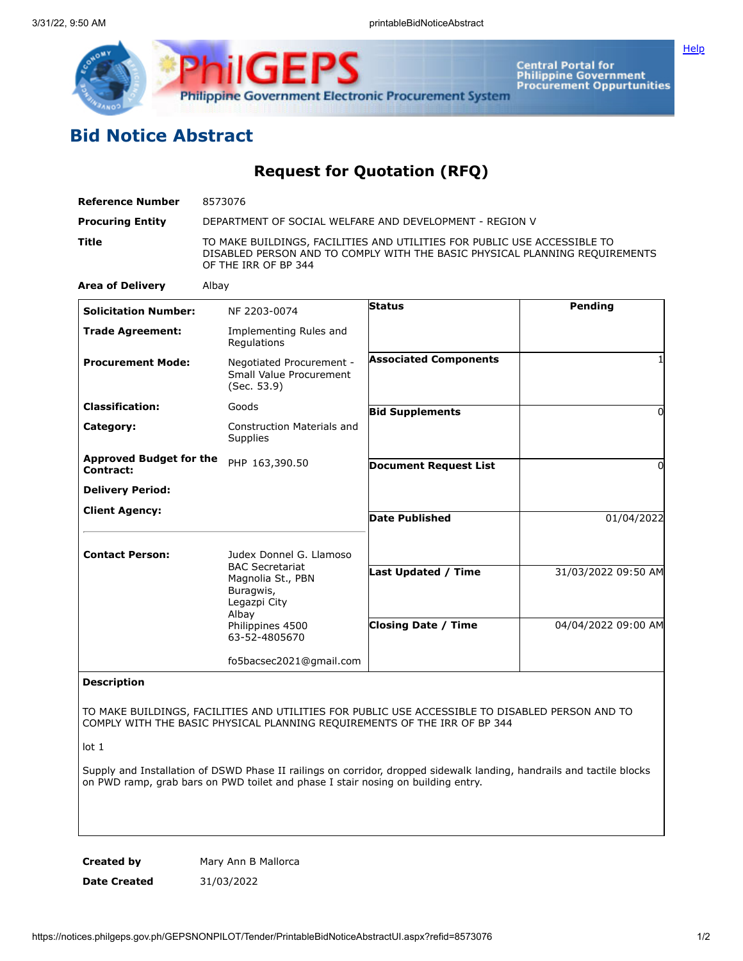

Central Portal for<br>Philippine Government<br>Procurement Oppurtunities

## **Bid Notice Abstract**

**Request for Quotation (RFQ)**

| <b>Reference Number</b>                     | 8573076                                                                                                                                                                         |                              |                     |
|---------------------------------------------|---------------------------------------------------------------------------------------------------------------------------------------------------------------------------------|------------------------------|---------------------|
| <b>Procuring Entity</b>                     | DEPARTMENT OF SOCIAL WELFARE AND DEVELOPMENT - REGION V                                                                                                                         |                              |                     |
| <b>Title</b>                                | TO MAKE BUILDINGS, FACILITIES AND UTILITIES FOR PUBLIC USE ACCESSIBLE TO<br>DISABLED PERSON AND TO COMPLY WITH THE BASIC PHYSICAL PLANNING REQUIREMENTS<br>OF THE IRR OF BP 344 |                              |                     |
| <b>Area of Delivery</b>                     | Albay                                                                                                                                                                           |                              |                     |
| <b>Solicitation Number:</b>                 | NF 2203-0074                                                                                                                                                                    | Status                       | Pending             |
| <b>Trade Agreement:</b>                     | Implementing Rules and<br>Regulations                                                                                                                                           |                              |                     |
| <b>Procurement Mode:</b>                    | Negotiated Procurement -<br>Small Value Procurement<br>(Sec. 53.9)                                                                                                              | <b>Associated Components</b> |                     |
| <b>Classification:</b>                      | Goods                                                                                                                                                                           | <b>Bid Supplements</b>       | O                   |
| Category:                                   | <b>Construction Materials and</b><br>Supplies                                                                                                                                   |                              |                     |
| <b>Approved Budget for the</b><br>Contract: | PHP 163,390.50                                                                                                                                                                  | <b>Document Request List</b> | O                   |
| <b>Delivery Period:</b>                     |                                                                                                                                                                                 |                              |                     |
| <b>Client Agency:</b>                       |                                                                                                                                                                                 | <b>Date Published</b>        | 01/04/2022          |
| <b>Contact Person:</b>                      | Judex Donnel G. Llamoso<br><b>BAC Secretariat</b><br>Magnolia St., PBN<br>Buragwis,<br>Legazpi City<br>Albay<br>Philippines 4500<br>63-52-4805670                               |                              |                     |
|                                             |                                                                                                                                                                                 | <b>Last Updated / Time</b>   | 31/03/2022 09:50 AM |
|                                             |                                                                                                                                                                                 | <b>Closing Date / Time</b>   | 04/04/2022 09:00 AM |
|                                             | fo5bacsec2021@gmail.com                                                                                                                                                         |                              |                     |
| <b>Description</b>                          |                                                                                                                                                                                 |                              |                     |

TO MAKE BUILDINGS, FACILITIES AND UTILITIES FOR PUBLIC USE ACCESSIBLE TO DISABLED PERSON AND TO COMPLY WITH THE BASIC PHYSICAL PLANNING REQUIREMENTS OF THE IRR OF BP 344

lot 1

Supply and Installation of DSWD Phase II railings on corridor, dropped sidewalk landing, handrails and tactile blocks on PWD ramp, grab bars on PWD toilet and phase I stair nosing on building entry.

**Created by Mary Ann B Mallorca Date Created** 31/03/2022

**[Help](javascript:void(window.open()**